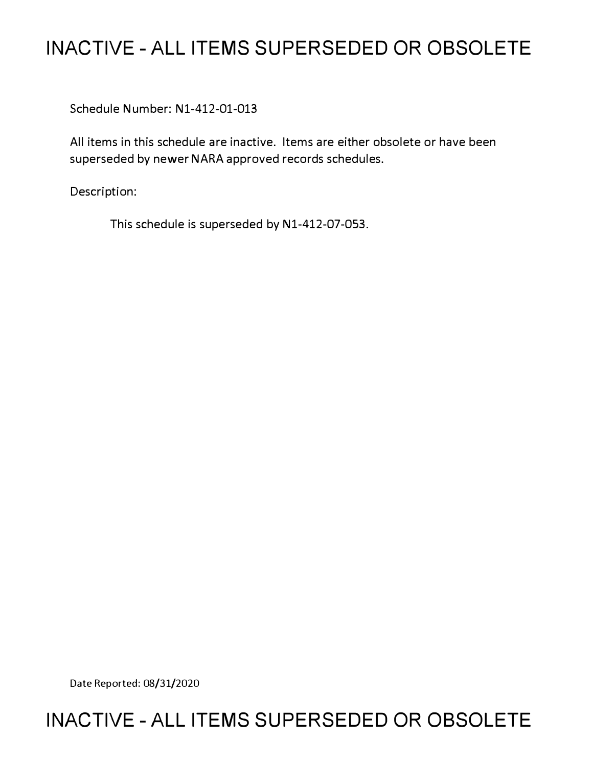# **INACTIVE - ALL ITEMS SUPERSEDED OR OBSOLETE**

Schedule Number: Nl-412-01-013

All items in this schedule are inactive. Items are either obsolete or have been superseded by newer NARA approved records schedules.

Description:

This schedule is superseded by N1-412-07-053.

Date Reported: 08/31/2020

# **INACTIVE - ALL ITEMS SUPERSEDED OR OBSOLETE**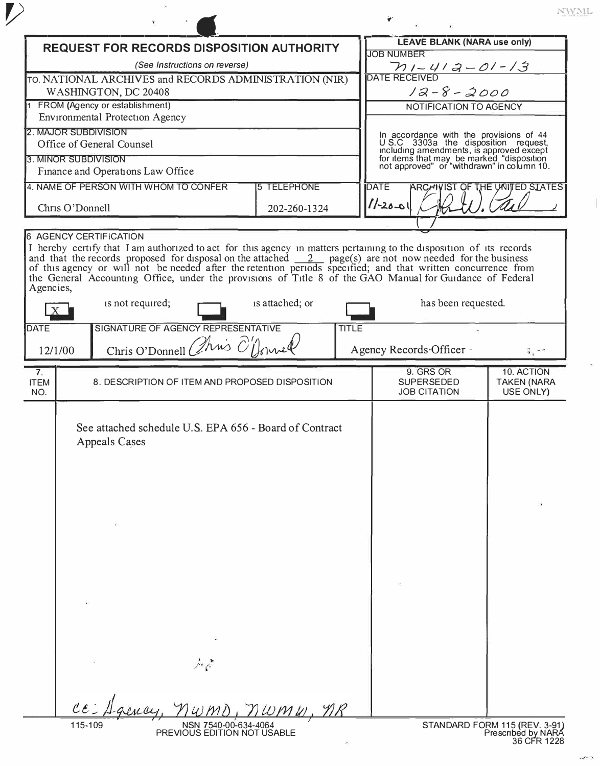1

|                                                        | <b>REQUEST FOR RECORDS DISPOSITION AUTHORITY</b>                                                                                                                                                                                                             |                    |              |                                                                             | <b>LEAVE BLANK (NARA use only)</b>                    |                                                                                                                                                                                                                        |  |
|--------------------------------------------------------|--------------------------------------------------------------------------------------------------------------------------------------------------------------------------------------------------------------------------------------------------------------|--------------------|--------------|-----------------------------------------------------------------------------|-------------------------------------------------------|------------------------------------------------------------------------------------------------------------------------------------------------------------------------------------------------------------------------|--|
| (See Instructions on reverse)                          |                                                                                                                                                                                                                                                              |                    |              | <b>JOB NUMBER</b>                                                           |                                                       |                                                                                                                                                                                                                        |  |
| TO. NATIONAL ARCHIVES and RECORDS ADMINISTRATION (NIR) |                                                                                                                                                                                                                                                              |                    |              | $\frac{\gamma_1-\gamma_2-\gamma_3-\gamma_1-\gamma_2}{\text{DATE RECEIVED}}$ |                                                       |                                                                                                                                                                                                                        |  |
| WASHINGTON, DC 20408                                   |                                                                                                                                                                                                                                                              |                    |              | $12 - 8 - 2000$                                                             |                                                       |                                                                                                                                                                                                                        |  |
| FROM (Agency or establishment)                         |                                                                                                                                                                                                                                                              |                    |              | NOTIFICATION TO AGENCY                                                      |                                                       |                                                                                                                                                                                                                        |  |
|                                                        | <b>Environmental Protection Agency</b>                                                                                                                                                                                                                       |                    |              |                                                                             |                                                       |                                                                                                                                                                                                                        |  |
| 2. MAJOR SUBDIVISION                                   | Office of General Counsel                                                                                                                                                                                                                                    |                    |              |                                                                             |                                                       | In accordance with the provisions of 44<br>U.S.C 3303a the disposition request,<br>including amendments, is approved except<br>for items that may be marked "disposition<br>not approved" or "withdrawn" in column 10. |  |
| 3. MINOR SUBDIVISION                                   |                                                                                                                                                                                                                                                              |                    |              |                                                                             |                                                       |                                                                                                                                                                                                                        |  |
|                                                        | Finance and Operations Law Office                                                                                                                                                                                                                            |                    |              |                                                                             |                                                       |                                                                                                                                                                                                                        |  |
|                                                        | 4. NAME OF PERSON WITH WHOM TO CONFER                                                                                                                                                                                                                        | <b>5 TELEPHONE</b> |              | <b>DATE</b>                                                                 |                                                       | <b>ARCHIVIST OF THE UNITED STATES</b>                                                                                                                                                                                  |  |
| Chris O'Donnell                                        |                                                                                                                                                                                                                                                              | 202-260-1324       |              | $11 - 20 - 01$                                                              |                                                       |                                                                                                                                                                                                                        |  |
|                                                        |                                                                                                                                                                                                                                                              |                    |              |                                                                             |                                                       |                                                                                                                                                                                                                        |  |
| Agencies,                                              | I hereby certify that I am authorized to act for this agency in matters pertaining to the disposition of its records<br>and that the records proposed for disposal on the attached $\frac{2}{\sqrt{2}}$ page(s) are not now needed for t<br>is not required; | is attached; or    |              |                                                                             | has been requested.                                   |                                                                                                                                                                                                                        |  |
| <b>DATE</b>                                            | SIGNATURE OF AGENCY REPRESENTATIVE                                                                                                                                                                                                                           |                    | <b>TITLE</b> |                                                                             |                                                       |                                                                                                                                                                                                                        |  |
|                                                        | Chris O'Donnell Chris O'Donnel                                                                                                                                                                                                                               |                    |              |                                                                             |                                                       |                                                                                                                                                                                                                        |  |
| 12/1/00                                                |                                                                                                                                                                                                                                                              |                    |              |                                                                             | Agency Records Officer -                              |                                                                                                                                                                                                                        |  |
| 7 <sub>1</sub><br><b>ITEM</b><br>NO.                   | 8. DESCRIPTION OF ITEM AND PROPOSED DISPOSITION                                                                                                                                                                                                              |                    |              |                                                                             | 9. GRS OR<br><b>SUPERSEDED</b><br><b>JOB CITATION</b> | 10. ACTION<br><b>TAKEN (NARA</b><br>USE ONLY)                                                                                                                                                                          |  |
|                                                        | See attached schedule U.S. EPA 656 - Board of Contract<br><b>Appeals Cases</b>                                                                                                                                                                               |                    |              |                                                                             |                                                       |                                                                                                                                                                                                                        |  |
|                                                        |                                                                                                                                                                                                                                                              |                    |              |                                                                             |                                                       |                                                                                                                                                                                                                        |  |
| ec                                                     |                                                                                                                                                                                                                                                              | <i>iumw</i>        |              |                                                                             |                                                       |                                                                                                                                                                                                                        |  |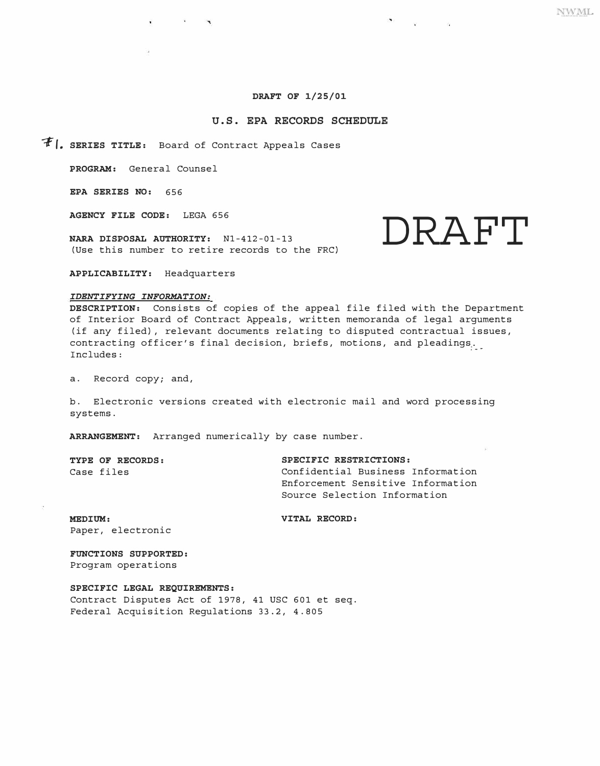# **DRAFT OF 1/25/01**

## **U.S. EPA RECORDS SCHEDULE**

 $F$  **|, SERIES TITLE:** Board of Contract Appeals Cases

**PROGRAM:** General Counsel

**EPA SERIES NO:** 656

**AGENCY FILE CODE:** LEGA 656

(Use this number to retire records to the FRC)

NARA DISPOSAL AUTHORITY:  $N1-412-01-13$  **DRAFT** 

**APPLICABILITY:** Headquarters

### *IDENTIFYING INFORMATION:*

**DESCRIPTION:** Consists of copies of the appeal file filed with the Department of Interior Board of Contract Appeals, written memoranda of legal arguments (if any filed), relevant documents relating to disputed contractual issues, contracting officer's final decision, briefs, motions, and pleadings. Includes:

a. Record copy; and,

b. Electronic versions created with electronic mail and word processing systems.

**ARRANGEMENT:** Arranged numerically by case number.

**TYPE OF RECORDS: SPECIFIC RESTRICTIONS:**  Confidential Business Information Enforcement Sensitive Information Source Selection Information

**MEDIUM: VITAL RECORD:** Paper, electronic

**FUNCTIONS SUPPORTED:**  Program operations

**SPECIFIC LEGAL REQUIREMENTS:**  Contract Disputes Act of 1978, 41 USC 601 et seq. Federal Acquisition Regulations 33.2, 4.805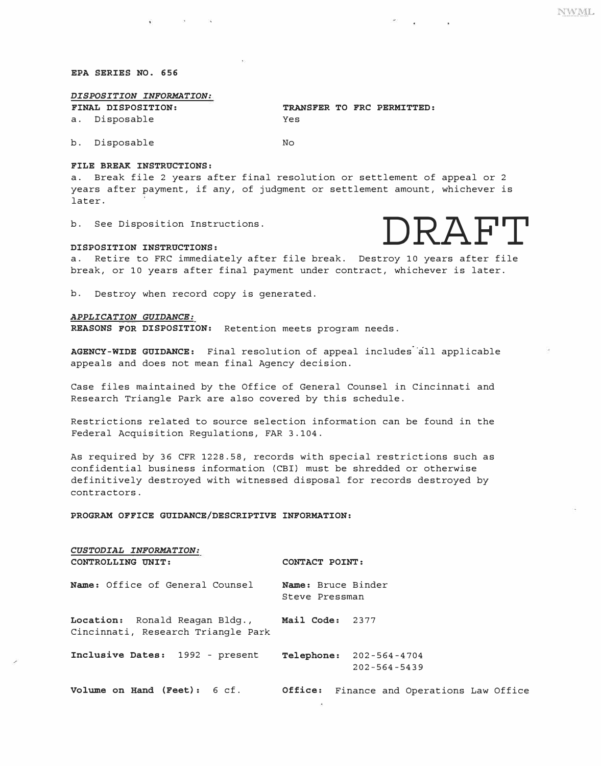### *EPA SERIES NO. 656*

# *DISPOSITION INFORMATION:*

a. Disposable Yes

*FINAL DISPOSITION: TRANSFER TO FRC PERMITTED:* 

b. Disposable No

#### *FILE BREAK INSTRUCTIONS:*

a. Break file 2 years after final resolution or settlement of appeal or 2 years after payment, if any, of judgment or settlement amount, whichever is later.

b. See Disposition Instructions.



break, or 10 years after final payment under contract, whichever is later.

b. Destroy when record copy is generated.

## *APPLICATION GUIDANCE:*

*REASONS FOR DISPOSITION:* Retention meets program needs.

AGENCY-WIDE GUIDANCE: Final resolution of appeal includes all applicable appeals and does not mean final Agency decision.

Case files maintained by the Office of General Counsel in Cincinnati and Research Triangle Park are also covered by this schedule.

Restrictions related to source selection information can be found in the Federal Acquisition Regulations, FAR 3.104.

As required by 36 CFR 1228.58, records with special restrictions such as confidential business information (CBI) must be shredded or otherwise definitively destroyed with witnessed disposal for records destroyed by contractors.

#### *PROGRAM OFFICE GUIDANCE/DESCRIPTIVE INFORMATION:*

| CUSTODIAL INFORMATION:<br>CONTROLLING UNIT:                                          | CONTACT POINT:                       |                                                      |  |  |  |  |
|--------------------------------------------------------------------------------------|--------------------------------------|------------------------------------------------------|--|--|--|--|
| Name: Office of General Counsel                                                      | Name: Bruce Binder<br>Steve Pressman |                                                      |  |  |  |  |
| Location: Ronald Reagan Bldg., Mail Code: 2377<br>Cincinnati, Research Triangle Park |                                      |                                                      |  |  |  |  |
| Inclusive Dates: 1992 - present                                                      |                                      | <b>Telephone:</b> 202-564-4704<br>$202 - 564 - 5439$ |  |  |  |  |
| Volume on Hand (Feet): 6 cf.                                                         |                                      | <b>Office:</b> Finance and Operations Law Office     |  |  |  |  |